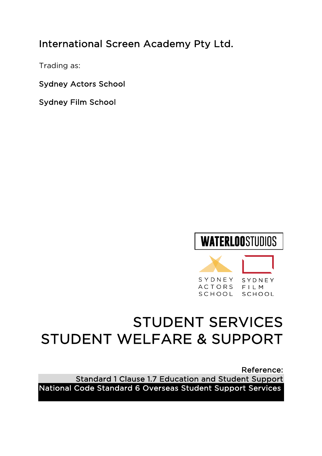# International Screen Academy Pty Ltd.

Trading as:

Sydney Actors School

Sydney Film School



# STUDENT SERVICES STUDENT WELFARE & SUPPORT

Reference: Standard 1 Clause 1.7 Education and Student Support National Code Standard 6 Overseas Student Support Services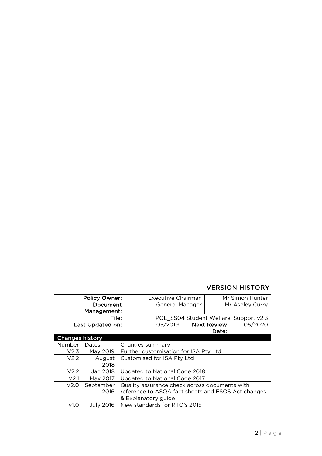### VERSION HISTORY

| <b>Policy Owner:</b>   |                  | <b>Executive Chairman</b><br>Mr Simon Hunter       |  |  |  |
|------------------------|------------------|----------------------------------------------------|--|--|--|
| Document               |                  | Mr Ashley Curry<br><b>General Manager</b>          |  |  |  |
| Management:            |                  |                                                    |  |  |  |
| File:                  |                  | POL_SS04 Student Welfare, Support v2.3             |  |  |  |
| Last Updated on:       |                  | 05/2019<br>05/2020<br><b>Next Review</b>           |  |  |  |
|                        |                  | Date:                                              |  |  |  |
| <b>Changes history</b> |                  |                                                    |  |  |  |
| Number                 | Dates            | Changes summary                                    |  |  |  |
| V2.3                   | May 2019         | Further customisation for ISA Pty Ltd              |  |  |  |
| V2.2                   | August           | Customised for ISA Pty Ltd                         |  |  |  |
|                        | 2018             |                                                    |  |  |  |
| V2.2                   | Jan 2018         | Updated to National Code 2018                      |  |  |  |
| V <sub>2.1</sub>       | May 2017         | Updated to National Code 2017                      |  |  |  |
| V2.0                   | September        | Quality assurance check across documents with      |  |  |  |
|                        | 2016             | reference to ASQA fact sheets and ESOS Act changes |  |  |  |
|                        |                  | & Explanatory guide                                |  |  |  |
| v1.0                   | <b>July 2016</b> | New standards for RTO's 2015                       |  |  |  |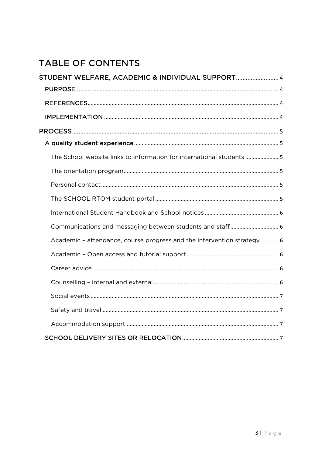# TABLE OF CONTENTS

| STUDENT WELFARE, ACADEMIC & INDIVIDUAL SUPPORT 4                       |  |
|------------------------------------------------------------------------|--|
|                                                                        |  |
|                                                                        |  |
|                                                                        |  |
|                                                                        |  |
|                                                                        |  |
| The School website links to information for international students 5   |  |
|                                                                        |  |
|                                                                        |  |
|                                                                        |  |
|                                                                        |  |
| Communications and messaging between students and staff 6              |  |
| Academic - attendance, course progress and the intervention strategy 6 |  |
|                                                                        |  |
|                                                                        |  |
|                                                                        |  |
|                                                                        |  |
|                                                                        |  |
|                                                                        |  |
|                                                                        |  |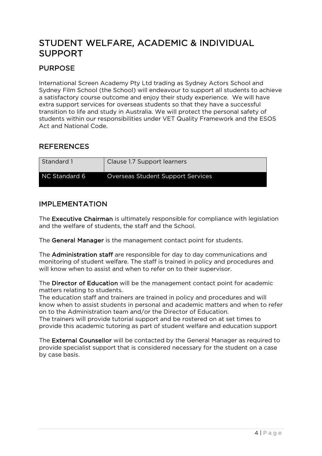# STUDENT WELFARE, ACADEMIC & INDIVIDUAL SUPPORT

# PURPOSE

International Screen Academy Pty Ltd trading as Sydney Actors School and Sydney Film School (the School) will endeavour to support all students to achieve a satisfactory course outcome and enjoy their study experience. We will have extra support services for overseas students so that they have a successful transition to life and study in Australia. We will protect the personal safety of students within our responsibilities under VET Quality Framework and the ESOS Act and National Code.

### REFERENCES

| Standard 1    | Clause 1.7 Support learners              |
|---------------|------------------------------------------|
| NC Standard 6 | <b>Overseas Student Support Services</b> |

### IMPLEMENTATION

The Executive Chairman is ultimately responsible for compliance with legislation and the welfare of students, the staff and the School.

The General Manager is the management contact point for students.

The Administration staff are responsible for day to day communications and monitoring of student welfare. The staff is trained in policy and procedures and will know when to assist and when to refer on to their supervisor.

The Director of Education will be the management contact point for academic matters relating to students.

The education staff and trainers are trained in policy and procedures and will know when to assist students in personal and academic matters and when to refer on to the Administration team and/or the Director of Education.

The trainers will provide tutorial support and be rostered on at set times to provide this academic tutoring as part of student welfare and education support

The External Counsellor will be contacted by the General Manager as required to provide specialist support that is considered necessary for the student on a case by case basis.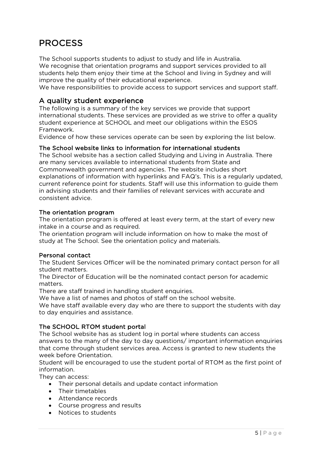# PROCESS

The School supports students to adjust to study and life in Australia. We recognise that orientation programs and support services provided to all students help them enjoy their time at the School and living in Sydney and will improve the quality of their educational experience.

We have responsibilities to provide access to support services and support staff.

### A quality student experience

The following is a summary of the key services we provide that support international students. These services are provided as we strive to offer a quality student experience at SCHOOL and meet our obligations within the ESOS Framework.

Evidence of how these services operate can be seen by exploring the list below.

#### The School website links to information for international students

The School website has a section called Studying and Living in Australia. There are many services available to international students from State and Commonwealth government and agencies. The website includes short explanations of information with hyperlinks and FAQ's. This is a regularly updated, current reference point for students. Staff will use this information to guide them in advising students and their families of relevant services with accurate and consistent advice.

#### The orientation program

The orientation program is offered at least every term, at the start of every new intake in a course and as required.

The orientation program will include information on how to make the most of study at The School. See the orientation policy and materials.

#### Personal contact

The Student Services Officer will be the nominated primary contact person for all student matters.

The Director of Education will be the nominated contact person for academic matters.

There are staff trained in handling student enquiries.

We have a list of names and photos of staff on the school website.

We have staff available every day who are there to support the students with day to day enquiries and assistance.

#### The SCHOOL RTOM student portal

The School website has as student log in portal where students can access answers to the many of the day to day questions/ important information enquiries that come through student services area. Access is granted to new students the week before Orientation.

Student will be encouraged to use the student portal of RTOM as the first point of information.

They can access:

- Their personal details and update contact information
- Their timetables
- Attendance records
- Course progress and results
- Notices to students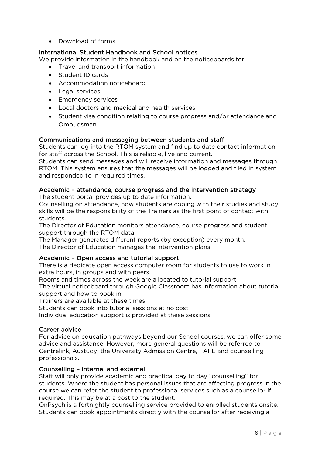• Download of forms

#### International Student Handbook and School notices

We provide information in the handbook and on the noticeboards for:

- Travel and transport information
- Student ID cards
- Accommodation noticeboard
- Legal services
- Emergency services
- Local doctors and medical and health services
- Student visa condition relating to course progress and/or attendance and Ombudsman

#### Communications and messaging between students and staff

Students can log into the RTOM system and find up to date contact information for staff across the School. This is reliable, live and current.

Students can send messages and will receive information and messages through RTOM. This system ensures that the messages will be logged and filed in system and responded to in required times.

#### Academic – attendance, course progress and the intervention strategy

The student portal provides up to date information.

Counselling on attendance, how students are coping with their studies and study skills will be the responsibility of the Trainers as the first point of contact with students.

The Director of Education monitors attendance, course progress and student support through the RTOM data.

The Manager generates different reports (by exception) every month. The Director of Education manages the intervention plans.

#### Academic – Open access and tutorial support

There is a dedicate open access computer room for students to use to work in extra hours, in groups and with peers.

Rooms and times across the week are allocated to tutorial support

The virtual noticeboard through Google Classroom has information about tutorial support and how to book in

Trainers are available at these times

Students can book into tutorial sessions at no cost

Individual education support is provided at these sessions

#### Career advice

For advice on education pathways beyond our School courses, we can offer some advice and assistance. However, more general questions will be referred to Centrelink, Austudy, the University Admission Centre, TAFE and counselling professionals.

#### Counselling – internal and external

Staff will only provide academic and practical day to day "counselling" for students. Where the student has personal issues that are affecting progress in the course we can refer the student to professional services such as a counsellor if required. This may be at a cost to the student.

OnPsych is a fortnightly counselling service provided to enrolled students onsite. Students can book appointments directly with the counsellor after receiving a